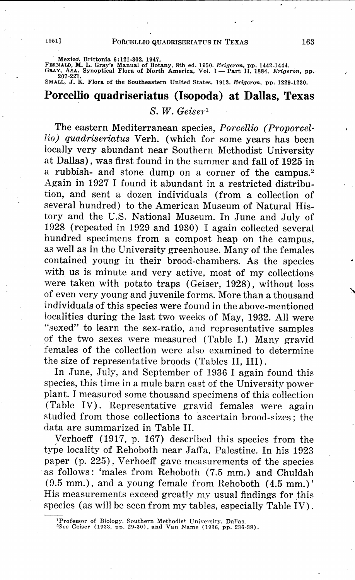Mexico. Brittonia 6:121-302. 1947.<br>FERNALD, M. L. Gray's Manual of Botany, 8th ed. 1950. *Erigeron*, pp. 1442-1444.<br>GRAY, AsA. Synoptical Flora of North America, Vol. I — Part II. 1884. *Erigeron*, pp.<br>- 207-221.

SMALL, J. K. Flora of the Southeastern United States. 1913. *Erigeron,* pp. 1229-1230.

# **Porcellio quadriseriatus (Isopoda) at Dallas, Texas**

## *S. W. Geiser <sup>1</sup>*

The eastern Mediterranean species, *Porcellio (Proporcellio) quadriseriatus* Verh. (which for some years has been locally very abundant near Southern Methodist University at Dallas), was first found in the summer and fall of 1925 in a rubbish- and stone dump on a corner of the campus.<sup>2</sup> Again in 1927 I found it abundant in a restricted distribution, and sent a dozen individuals (from a collection of several hundred) to the American Museum of Natural History and the U.S. National Museum. In June and July of 1928 (repeated in 1929 and 1930) I again collected several hundred specimens from a compost heap on the campus, as well as in the University greenhouse. Many of the females contained young in their brood-chambers. As the species with us is minute and very active, most of my collections were taken with potato traps (Geiser, 1928), without loss of even very young and juvenile forms. More than a thousand individuals of this species were found in the above-mentioned localities during the last two weeks of May, 1932. All were "sexed" to learn the sex-ratio, and representative samples of the two sexes were measured (Table I.) Many gravid females of the collection were also examined to determine the size of representative broods (Tables II, III).

In June, July, and September of 1936 I again found this species, this time in a mule barn east of the University power plant. I measured some thousand specimens of this collection (Table IV). Representative gravid females were again studied from those collections to ascertain brood-sizes; the data are summarized in Table II.

Verhoeff (1917, p. 167) described this species from the type locality of Rehoboth near Jaffa, Palestine. In his 1923 paper (p. 225), Verhoeff gave measurements of the species as follows: 'males from Rehoboth (7.5 mm.) and Chuldah (9.5 mm.), and a young female from Rehoboth (4.5 mm.)' His measurements exceed greatly my usual findings for this species (as will be seen from my tables, especially Table IV).

<sup>&</sup>lt;sup>1</sup>Professor of Biology, Southern Methodist University, Dal<sup>1</sup>as.<br><sup>2</sup>*See* Geiser (1933, pp. 29-30), and Van Name (1936, pp. 236-38)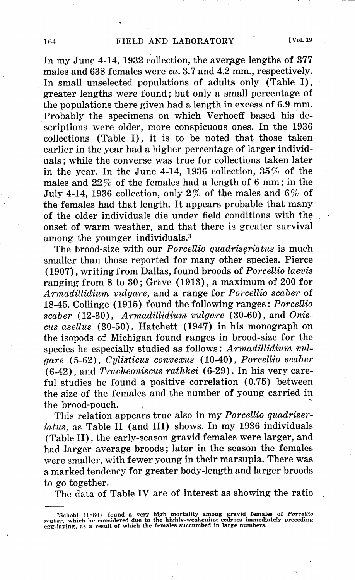In my June  $4-14$ , 1932 collection, the average lengths of 377 males and 638 females were *ca.* 3.7 and 4.2 mm., respectively. In small unselected populations of adults only (Table I), greater lengths were found; but only a small percentage of the populations there given had a length in excess of 6.9 mm. Probably the specimens on which Verhoeff based his descriptions were older, more conspicuous ones. In the 1936 collections (Table I), it is to be noted that those taken earlier in the year had a higher percentage of larger individuals; while the converse was true for collections taken later in the year. In the June 4-14, 1936 collection,  $35\%$  of the males and  $22\%$  of the females had a length of 6 mm; in the July 4-14, 1936 collection, only 2% of the males and 6% of the females had that length. It appears probable that many of the older individuals die under field conditions with the onset of warm weather, and that there is greater survival~ among the younger individuals.<sup>3</sup>

The brood-size with our *Porcellio quadriseriatus* is much smaller than those reported for many other species. Pierce (1907), writing from Dallas, found broods of *Porcellio laevis*  ranging from 8 to 30; Gräve (1913), a maximum of 200 for *Armadillidium vulgare,* and a range for *Porcellio scaber* of 18-45. Collinge (1915) found the following ranges: *Porcellio scaber* (12-30), *Armadillidium vulgare* (30-60), and *Oniscus asellus* (30-50). Hatchett (1947) in his monograph on the isopods of Michigan found ranges in brood-size for the species he especially studied as follows : *A rmadillidium vulgare* (5-62), *Cylisticus convexus* (10-40), *Porcellio scaber* (6-42), and *Tracheoniscus rathkei* (6-29). In his very careful studies he found a positive correlation (0.75) between the size of the females and the number of young carried in the brood-pouch.

This relation appears true also in my *Porcellio quadriseriatus,* as Table II (and III) shows. In my 1936 individuals (Table II), the early-season gravid females were larger, and had Jarger average broods; later in the season the females were smaller, with fewer young in their marsupia. There was a marked tendency for greater body-length and larger broods to go together.

The data of Table IV are of interest as showing the ratio

<sup>&</sup>lt;sup>3</sup>Schobl (1880) found a very high mortality among gravid females of *Porcellio*<br>scaber, which he considered due to the highly-weakening ecdyses immediately preceding<br>egg-laying, as a result of which the females succumbed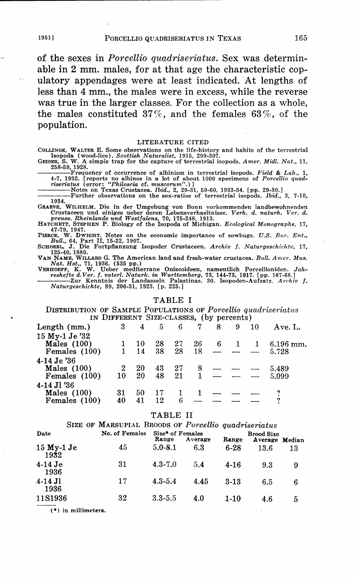of the sexes in *Porcellio quadriseriatus.* Sex was determinable in 2 mm. males, for at that age the characteristic copulatory appendages were at least indicated. At lengths of less than 4 mm., the males were in excess, while the reverse was true in the larger classes. For the collection as a whole, the males constituted 37%, and the females 63%, of the population.

LITERATURE CITED<br>COLLINGE, WALTER E. Some observations on the life-history and habits of the terrestrial COLLINGE, WALTER E. Some observations on the life-history and habits of the terrestrial<br>Isopoda (wood-lice). *Scottish Naturalist*, 1915, 299-307.<br>GEISER, S. W. A simple trap for the capture of terrestrial isopods. *Amer.* 

258059, 1928. ----Frequency of occurrence of albinism in terrestrial isopods. *Field* & *Lab.,* 1, 4-7, 1932. [reports no albinos in a lot of about 1000 specimens of *Porcellio quad riseriatus* (error: "*Philoscia ef. muscorum*".)]<br>---------------Notes on Texas Crustacea. *Ibid.*, 2, 29-31, 59-60, 1933-34. [pp. 29-30

----Further observations on the sex-ratios of terrestrial isopods. *Ibid.,* 3, 7-10, 1934. GRAEVE, WILHELM. Die in der Umgebung von Bonn vorkommenden landbewohnenden

Crustaceen und einiges ueber deren Lebensverhaeltnisse. Verh. d. naturh. Ver. d.<br>preuss. Rheinlande und Westfalens, 70, 175-248, 1913.<br>HATCHETT, STEPHEN P. Biology of the Isopoda of Michigan. Ecological Monographs, 17,

47-79, 1947.<br>PIERCE, W. DWIGHT. Notes on the economic importance of sowbugs. U.S. Bur. Ent., Bull., 64, Part II, 15-22, 1907.<br>SCHOBBL, J. Die Fortpflanzung Isopoder Crustaceen. Archiv f. Naturgeschichte, 17,<br>125-40, 1880.

VAN NAME, WILLARD G. The American land and fresh-water crustacea. Bull. Amer. Mus.<br>Nat. Hst., 71, 1986. (535 pp.)<br>VERIOFF, K. W. Ueber mediterrane Oniscoideen, namentlich Porcellioniden. Jah-<br>veshefte d.Ver. f. vaterl. Nat

#### **TABLE** I

DISTRIBUTION OF SAMPLE POPULATIONS OF *Porcellio quadriseriatus*  IN DIFFERENT SIZE-CLASSES, (by percents)

| Length $(mm.)$  |              | $3 \quad 4$ |     |    | 5 6 7 8 |      | - 9       | 10                | Ave. L.                                |
|-----------------|--------------|-------------|-----|----|---------|------|-----------|-------------------|----------------------------------------|
| 15 My-1 Je '32  |              |             |     |    |         |      |           |                   |                                        |
| Males $(100)$   |              | 10          | 28  | 27 |         | 26 6 | $\sim$ 1  | $\mathbf{1}$      | $6.196$ mm.                            |
| Females $(100)$ |              | 14          | 38. | 28 |         |      |           |                   | $18 \rightarrow - \rightarrow - 5.728$ |
| 4-14 Je '36     |              |             |     |    |         |      |           |                   |                                        |
| Males $(100)$   | $\mathbf{2}$ | -20         | 43  | 27 |         |      | $8 - - -$ |                   | 5.489                                  |
| Females $(100)$ | 10           | 20          | 48  | 21 |         |      |           | $1 - \frac{1}{2}$ | 5.099                                  |
| 4-14 Jl '36     |              |             |     |    |         |      |           |                   |                                        |
| Males $(100)$   | 31           | 50          | 17  |    |         |      |           |                   |                                        |
| Females (100)   | 40           | 41          | 12  | 6  |         |      |           |                   |                                        |
|                 |              |             |     |    |         |      |           |                   |                                        |

#### TABLE II

| SIZE OF MARSUPIAL BROODS OF Porcellio quadriseriatus |  |                |                           |         |          |                                     |    |  |  |
|------------------------------------------------------|--|----------------|---------------------------|---------|----------|-------------------------------------|----|--|--|
| Date                                                 |  | No. of Females | Size* of Females<br>Range | Average | Range    | <b>Brood Size</b><br>Average Median |    |  |  |
| $15$ My-1 Je<br>1932                                 |  | 45             | $5.0 - 8.1$               | 6.3     | $6 - 28$ | 13.6                                | 13 |  |  |
| $4-14$ Je<br>1936                                    |  | 31             | $4.3 - 7.0$               | 5.4     | $4 - 16$ | 9.3                                 | 9  |  |  |
| $4-14$ Jl<br>1936                                    |  | 17             | $4.3 - 5.4$               | 4.45    | $3-13$   | 6.5                                 | 6  |  |  |
| 11S1936                                              |  | 32             | $3.3 - 5.5$               | 4.0     | $1-10$   | 4.6                                 | 5  |  |  |

 $(*)$  in millimeters.